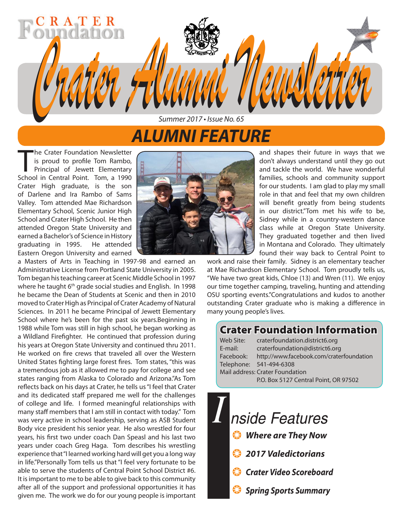## *ALUMNI FEATURE*

*Summer 2017 • Issue No. 65*

*Crater Alumni Newsletter Crater Alumni Newsletter*

The Crater Foundation Newsletter<br>is proud to profile Tom Rambo,<br>Principal of Jewett Elementary<br>School in Central Point. Tom, a 1990 he Crater Foundation Newsletter is proud to profile Tom Rambo, Principal of Jewett Elementary Crater High graduate, is the son of Darlene and Ira Rambo of Sams Valley. Tom attended Mae Richardson Elementary School, Scenic Junior High School and Crater High School. He then attended Oregon State University and earned a Bachelor's of Science in History graduating in 1995. He attended Eastern Oregon University and earned

R A T E

a Masters of Arts in Teaching in 1997-98 and earned an Administrative License from Portland State University in 2005. Tom began his teaching career at Scenic Middle School in 1997 where he taught 6<sup>th</sup> grade social studies and English. In 1998 he became the Dean of Students at Scenic and then in 2010 moved to Crater High as Principal of Crater Academy of Natural Sciences. In 2011 he became Principal of Jewett Elementary School where he's been for the past six years.Beginning in 1988 while Tom was still in high school, he began working as a Wildland Firefighter. He continued that profession during his years at Oregon State University and continued thru 2011. He worked on fire crews that traveled all over the Western United States fighting large forest fires. Tom states, "this was a tremendous job as it allowed me to pay for college and see states ranging from Alaska to Colorado and Arizona."As Tom reflects back on his days at Crater, he tells us "I feel that Crater and its dedicated staff prepared me well for the challenges of college and life. I formed meaningful relationships with many staff members that I am still in contact with today." Tom was very active in school leadership, serving as ASB Student Body vice president his senior year. He also wrestled for four years, his first two under coach Dan Speasl and his last two years under coach Greg Haga. Tom describes his wrestling experience that "I learned working hard will get you a long way in life."Personally Tom tells us that "I feel very fortunate to be able to serve the students of Central Point School District #6. It is important to me to be able to give back to this community after all of the support and professional opportunities it has given me. The work we do for our young people is important



and shapes their future in ways that we don't always understand until they go out and tackle the world. We have wonderful families, schools and community support for our students. I am glad to play my small role in that and feel that my own children will benefit greatly from being students in our district."Tom met his wife to be, Sidney while in a country-western dance class while at Oregon State University. They graduated together and then lived in Montana and Colorado. They ultimately found their way back to Central Point to

work and raise their family. Sidney is an elementary teacher at Mae Richardson Elementary School. Tom proudly tells us, "We have two great kids, Chloe (13) and Wren (11). We enjoy our time together camping, traveling, hunting and attending OSU sporting events."Congratulations and kudos to another outstanding Crater graduate who is making a difference in many young people's lives.

### Crater Foundation Information

Web Site: craterfoundation.district6.org E-mail: craterfoundation@district6.org Facebook: http://www.facebook.com/craterfoundation Telephone: 541-494-6308 Mail address: Crater Foundation P.O. Box 5127 Central Point, OR 97502

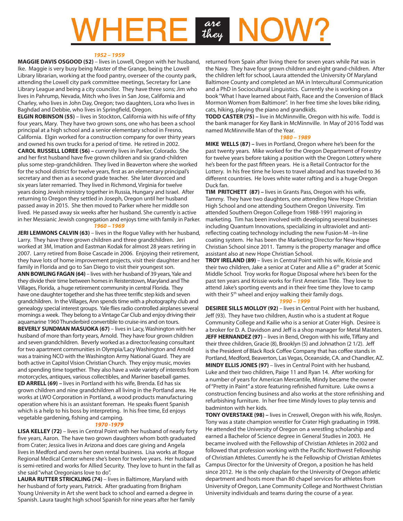# $V$ **HERE**

#### *1952 – 1959*

**MAGGIE DAVIS OSGOOD (52)** – lives in Lowell, Oregon with her husband, Ike. Maggie is very busy being Master of the Grange, being the Lowell Library librarian, working at the food pantry, overseer of the county park, attending the Lowell city park committee meetings, Secretary for Lane Library League and being a city councilor. They have three sons; Jim who lives in Pahrump, Nevada, Mitch who lives in San Jose, California and Charley, who lives in John Day, Oregon; two daughters, Lora who lives in Baghdad and Debbie, who lives in Springfield, Oregon.

**ELGIN ROBINSON (55)** – lives in Stockton, California with his wife of fifty four years, Mary. They have two grown sons, one who has been a school principal at a high school and a senior elementary school in Fresno, California. Elgin worked for a construction company for over thirty years and owned his own trucks for a period of time. He retired in 2002. **CAROL RUSSELL LOREE (56) –** currently lives in Parker, Colorado. She and her first husband have five grown children and six grand-children plus some step-grandchildren. They lived in Beaverton where she worked for the school district for twelve years, first as an elementary principal's secretary and then as a second grade teacher. She later divorced and six years later remarried. They lived in Richmond, Virginia for twelve years doing Jewish ministry together in Russia, Hungary and Israel. After returning to Oregon they settled in Joseph, Oregon until her husband passed away in 2015. She then moved to Parker where her middle son lived. He passed away six weeks after her husband. She currently is active in her Messianic Jewish congregation and enjoys time with family in Parker.

#### *1960 – 1969*

**JERI LEMMONS CALVIN (63)** – lives in the Rogue Valley with her husband, Larry. They have three grown children and three grandchildren. Jeri worked at 3M, Imation and Eastman Kodak for almost 28 years retiring in 2007. Larry retired from Boise Cascade in 2006. Enjoying their retirement, they have lots of home improvement projects, visit their daughter and her family in Florida and go to San Diego to visit their youngest son. **ANN BOWLING FAGAN (64)** – lives with her husband of 39 years, Yale and they divide their time between homes in Reisterstown, Maryland and The Villages, Florida, a huge retirement community in central Florida. They have one daughter together and she has three terrific step kids and seven grandchildren. In the Villages, Ann spends time with a photography club and genealogy special interest groups. Yale flies radio controlled airplanes several mornings a week. They belong to a Vintage Car Club and enjoy driving their aquamarine 1960 Thunderbird convertible to cruise-ins and on tours. **BEVERLY SUNDMAN MASUOKA (67)** – lives in Lacy, Washington with her husband of more than forty years, Arnold. They have four grown children and seven grandchildren. Beverly worked as a director/leasing consultant for two apartment communities in Olympia/Lacy Washington and Arnold was a training NCO with the Washington Army National Guard. They are both active in Capitol Vision Christian Church. They enjoy music, movies and spending time together. They also have a wide variety of interests from motorcycles, antiques, various collectibles, and Mariner baseball games. **ED ARRELL (69) –** lives in Portland with his wife, Brenda. Ed has six grown children and nine grandchildren all living in the Portland area. He works at LWO Corporation in Portland, a wood products manufacturing operation where his is an assistant foreman. He speaks fluent Spanish which is a help to his boss by interpreting. In his free time, Ed enjoys vegetable gardening, fishing and camping.

#### *1970 -1979*

**LISA KELLEY (72)** – lives in Central Point with her husband of nearly forty five years, Aaron. The have two grown daughters whom both graduated from Crater; Jessica lives in Arizona and does care giving and Angela lives in Medford and owns her own rental business. Lisa works at Rogue Regional Medical Center where she's been for twelve years. Her husband is semi-retired and works for Allied Security. They love to hunt in the fall as she said "what Oregonians love to do".

**LAURA RUTTER STRICKLING (74)** – lives in Baltimore, Maryland with her husband of forty years, Patrick. After graduating from Brigham Young University in Art she went back to school and earned a degree in Spanish. Laura taught high school Spanish for nine years after her family returned from Spain after living there for seven years while Pat was in the Navy. They have four grown children and eight grand-children. After the children left for school, Laura attended the University Of Maryland Baltimore County and completed an MA in Intercultural Communication and a PhD in Sociocultural Linguistics. Currently she is working on a book "What I have learned about Faith, Race and the Conversion of Black Mormon Women from Baltimore". In her free time she loves bike riding, cats, hiking, playing the piano and grandkids.

**TODD CASTER (75) –** live in McMinnville, Oregon with his wife. Todd is the bank manager for Key Bank in McMinnville. In May of 2016 Todd was named McMinnville Man of the Year.

#### *1980 – 1989*

**MIKE WELLS (87) –** lives in Portland, Oregon where he's been for the past twenty years. Mike worked for the Oregon Department of Forestry for twelve years before taking a position with the Oregon Lottery where he's been for the past fifteen years. He is a Retail Contractor for the Lottery. In his free time he loves to travel abroad and has traveled to 36 different countries. He loves white water rafting and is a huge Oregon Duck fan.

**TIM PRITCHETT (87) –** lives in Grants Pass, Oregon with his wife, Tammy. They have two daughters, one attending New Hope Christian High School and one attending Southern Oregon University. Tim attended Southern Oregon College from 1988-1991 majoring in marketing. Tim has been involved with developing several businesses including Quantum Innovations, specializing in ultraviolet and antireflecting coating technology including the new Fusion-M –In-line coating system. He has been the Marketing Director for New Hope Christian School since 2011. Tammy is the property manager and office assistant also at new Hope Christian School.

**TROY IRELAND (89)** – lives in Central Point with his wife, Krissie and their two children, Jake a senior at Crater and Allie a  $6<sup>th</sup>$  grader at Scenic Middle School. Troy works for Rogue Disposal where he's been for the past ten years and Krissie works for First American Title. They love to attend Jake's sporting events and in their free time they love to camp with their 5<sup>th</sup> wheel and enjoy walking their family dogs.

#### *1990 – 1999*

**DESIREE SILLS MOLLOY (92)** – lives in Central Point with her husband, Jeff (93). They have two children, Austin who is a student at Rogue Community College and Kailie who is a senior at Crater High. Desiree is a broker for D. A. Davidson and Jeff is a shop manager for Metal Masters. **JEFF HERNANDEZ (97)** – lives in Bend, Oregon with his wife, Tiffany and their three children, Gracie (8), Brooklyn (5) and Johnathon (2 1/2). Jeff is the President of Black Rock Coffee Company that has coffee stands in Portland, Medford, Beaverton, Las Vegas, Oceanside, CA. and Chandler, AZ. **MINDY ELLIS JONES (97)** – lives in Central Point with her husband, Luke and their two children, Paige 11 and Ryan 14. After working for a number of years for American Mercantile, Mindy became the owner of "Pretty in Paint" a store featuring refinished furniture. Luke owns a construction fencing business and also works at the store refinishing and refurbishing furniture. In her free time Mindy loves to play tennis and badminton with her kids.

**TONY OVERSTAKE (98) –** lives in Creswell, Oregon with his wife, Roslyn. Tony was a state champion wrestler for Crater High graduating in 1998. He attended the University of Oregon on a wrestling scholarship and earned a Bachelor of Science degree in General Studies in 2003. He became involved with the Fellowship of Christian Athletes in 2002 and followed that profession working with the Pacific Northwest Fellowship of Christian Athletes. Currently he is the Fellowship of Christian Athletes Campus Director for the University of Oregon, a position he has held since 2012. He is the only chaplain for the University of Oregon athletic department and hosts more than 80 chapel services for athletes from University of Oregon, Lane Community College and Northwest Christian University individuals and teams during the course of a year.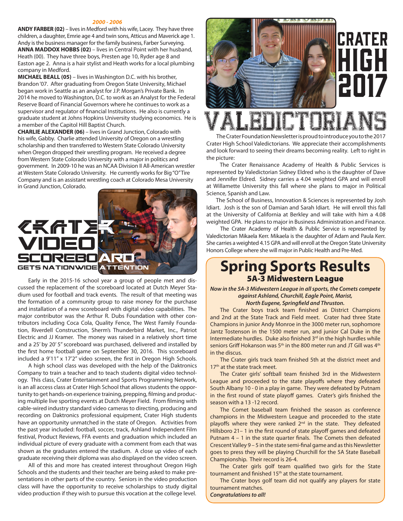#### *2000 - 2006*

**ANDY FARBER (02)** – lives in Medford with his wife, Lacey. They have three children, a daughter, Emrie age 4 and twin sons, Atticus and Maverick age 1. Andy is the business manager for the family business, Farber Surveying. **ANNA MADDOX HOBBS (02)** – lives in Central Point with her husband, Heath (00). They have three boys, Presten age 10, Ryder age 8 and Easton age 2. Anna is a hair stylist and Heath works for a local plumbing company in Medford.

**MICHAEL BEALL (05)** – lives in Washington D.C. with his brother, Brandon '07. After graduating from Oregon State University, Michael began work in Seattle as an analyst for J.P. Morgan's Private Bank. In 2014 he moved to Washington, D.C. to work as an Analyst for the Federal Reserve Board of Financial Governors where he continues to work as a supervisor and regulator of financial Institutions. He also is currently a graduate student at Johns Hopkins University studying economics. He is a member of the Capitol Hill Baptist Church.

**CHARLIE ALEXANDER (06)** – lives in Grand Junction, Colorado with his wife, Gabby. Charlie attended University of Oregon on a wrestling scholarship and then transferred to Western State Colorado University when Oregon dropped their wrestling program. He received a degree from Western State Colorado University with a major in politics and government. In 2009-10 he was an NCAA Division II All-American wrestler at Western State Colorado University. He currently works for Big "O" Tire Company and is an assistant wrestling coach at Colorado Mesa University in Grand Junction, Colorado.



Early in the 2015-16 school year a group of people met and discussed the replacement of the scoreboard located at Dutch Meyer Stadium used for football and track events. The result of that meeting was the formation of a community group to raise money for the purchase and installation of a new scoreboard with digital video capabilities. The major contributor was the Arthur R. Dubs Foundation with other contributors including Coca Cola, Quality Fence, The West Family Foundation, Riverdell Construction, Sherm's Thunderbird Market, Inc., Patriot Electric and JJ Kramer. The money was raised in a relatively short time and a 25' by 20' 5" scoreboard was purchased, delivered and installed by the first home football game on September 30, 2016. This scoreboard included a 9'11" x 17'2" video screen, the first in Oregon High Schools.

A high school class was developed with the help of the Daktronics Company to train a teacher and to teach students digital video technology. This class, Crater Entertainment and Sports Programming Network, is an all access class at Crater High School that allows students the opportunity to get hands-on experience training, prepping, filming and producing multiple live sporting events at Dutch Meyer Field. From filming with cable-wired industry standard video cameras to directing, producing and recording on Daktronics professional equipment, Crater High students have an opportunity unmatched in the state of Oregon. Activities from the past year included: football, soccer, track, Ashland Independent Film festival, Product Reviews, FFA events and graduation which included an individual picture of every graduate with a comment from each that was shown as the graduates entered the stadium. A close up video of each graduate receiving their diploma was also displayed on the video screen.

All of this and more has created interest throughout Oregon High Schools and the students and their teacher are being asked to make presentations in other parts of the country. Seniors in the video production class will have the opportunity to receive scholarships to study digital video production if they wish to pursue this vocation at the college level.



## Valedictorians

The Crater Foundation Newsletter is proud to introduce you to the 2017 Crater High School Valedictorians. We appreciate their accomplishments and look forward to seeing their dreams becoming reality. Left to right in the picture:

 The Crater Renaissance Academy of Health & Public Services is represented by Valedictorian Sidney Eldred who is the daughter of Dave and Jennifer Eldred. Sidney carries a 4.04 weighted GPA and will enroll at Willamette University this fall where she plans to major in Political Science, Spanish and Law.

 The School of Business, Innovation & Sciences is represented by Josh Idiart. Josh is the son of Damian and Sarah Idiart. He will enroll this fall at the University of California at Berkley and will take with him a 4.08 weighted GPA. He plans to major in Business Administration and Finance.

 The Crater Academy of Health & Public Service is represented by Valedictorian Mikaela Kerr. Mikaela is the daughter of Adam and Paula Kerr. She carries a weighted 4.15 GPA and will enroll at the Oregon State University Honors College where she will major in Public Health and Pre-Med.

### **Spring Sports Results**  5A-3 Midwestern League

*Now in the 5A-3 Midwestern League in all sports, the Comets compete against Ashland, Churchill, Eagle Point, Marist, North Eugene, Springfield and Thruston.* 

The Crater boys track team finished as District Champions and 2nd at the State Track and Field meet. Crater had three State Champions in junior Andy Monroe in the 3000 meter run, sophomore Jantz Tostenson in the 1500 meter run, and junior Cal Duke in the Intermediate hurdles. Duke also finished 3<sup>rd</sup> in the high hurdles while seniors Griff Hokanson was 5<sup>th</sup> in the 800 meter run and JT Gill was 4<sup>th</sup> in the discus.

The Crater girls track team finished 5th at the district meet and 17<sup>th</sup> at the state track meet.

The Crater girls' softball team finished 3rd in the Midwestern League and proceeded to the state playoffs where they defeated South Albany 10 - 0 in a play in game. They were defeated by Putnam in the first round of state playoff games. Crater's girls finished the season with a 13 -12 record.

The Comet baseball team finished the season as conference champions in the Midwestern League and proceeded to the state playoffs where they were ranked 2<sup>nd</sup> in the state. They defeated Hillsboro 21– 1 in the first round of state playoff games and defeated Putnam 4 – 1 in the state quarter finals. The Comets then defeated Crescent Valley 9 – 5 in the state semi-final game and as this Newsletter goes to press they will be playing Churchill for the 5A State Baseball Championship. Their record is 26-4.

The Crater girls golf team qualified two girls for the State tournament and finished 15<sup>th</sup> at the state tournament.

The Crater boys golf team did not qualify any players for state tournament matches.

*Congratulations to all!*